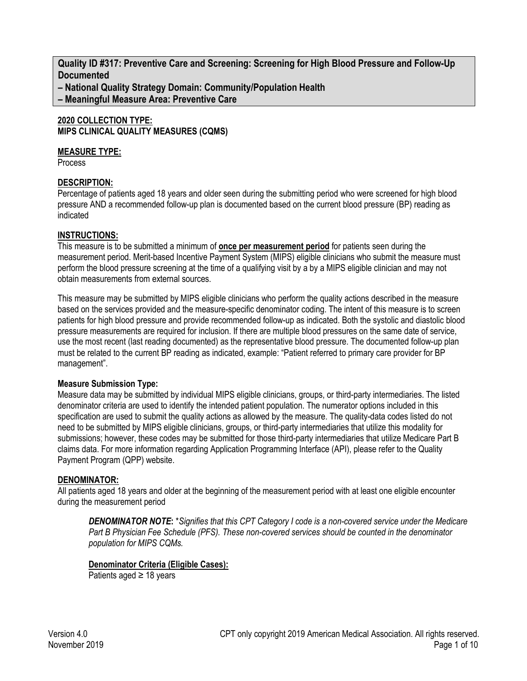**Quality ID #317: Preventive Care and Screening: Screening for High Blood Pressure and Follow-Up Documented**

**– National Quality Strategy Domain: Community/Population Health**

**– Meaningful Measure Area: Preventive Care**

#### **2020 COLLECTION TYPE: MIPS CLINICAL QUALITY MEASURES (CQMS)**

#### **MEASURE TYPE:**

Process

## **DESCRIPTION:**

Percentage of patients aged 18 years and older seen during the submitting period who were screened for high blood pressure AND a recommended follow-up plan is documented based on the current blood pressure (BP) reading as indicated

## **INSTRUCTIONS:**

This measure is to be submitted a minimum of **once per measurement period** for patients seen during the measurement period. Merit-based Incentive Payment System (MIPS) eligible clinicians who submit the measure must perform the blood pressure screening at the time of a qualifying visit by a by a MIPS eligible clinician and may not obtain measurements from external sources.

This measure may be submitted by MIPS eligible clinicians who perform the quality actions described in the measure based on the services provided and the measure-specific denominator coding. The intent of this measure is to screen patients for high blood pressure and provide recommended follow-up as indicated. Both the systolic and diastolic blood pressure measurements are required for inclusion. If there are multiple blood pressures on the same date of service, use the most recent (last reading documented) as the representative blood pressure. The documented follow-up plan must be related to the current BP reading as indicated, example: "Patient referred to primary care provider for BP management".

## **Measure Submission Type:**

Measure data may be submitted by individual MIPS eligible clinicians, groups, or third-party intermediaries. The listed denominator criteria are used to identify the intended patient population. The numerator options included in this specification are used to submit the quality actions as allowed by the measure. The quality-data codes listed do not need to be submitted by MIPS eligible clinicians, groups, or third-party intermediaries that utilize this modality for submissions; however, these codes may be submitted for those third-party intermediaries that utilize Medicare Part B claims data. For more information regarding Application Programming Interface (API), please refer to the Quality Payment Program (QPP) website.

# **DENOMINATOR:**

All patients aged 18 years and older at the beginning of the measurement period with at least one eligible encounter during the measurement period

*DENOMINATOR NOTE***:** \**Signifies that this CPT Category I code is a non-covered service under the Medicare Part B Physician Fee Schedule (PFS). These non-covered services should be counted in the denominator population for MIPS CQMs.*

# **Denominator Criteria (Eligible Cases):**

Patients aged ≥ 18 years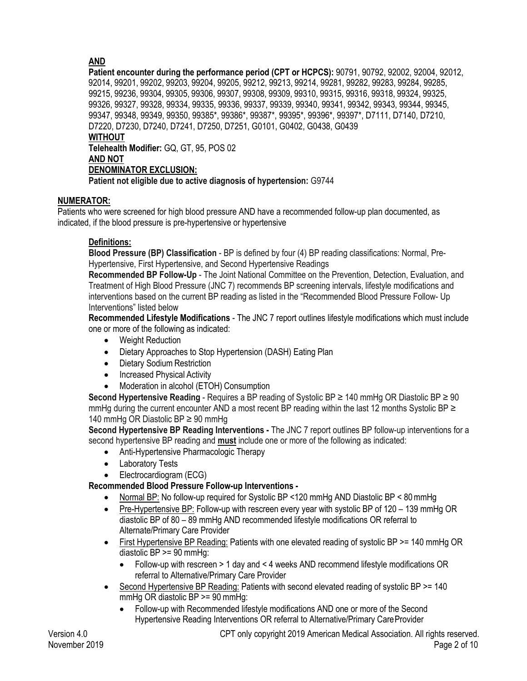# **AND**

**Patient encounter during the performance period (CPT or HCPCS):** 90791, 90792, 92002, 92004, 92012, 92014, 99201, 99202, 99203, 99204, 99205, 99212, 99213, 99214, 99281, 99282, 99283, 99284, 99285, 99215, 99236, 99304, 99305, 99306, 99307, 99308, 99309, 99310, 99315, 99316, 99318, 99324, 99325, 99326, 99327, 99328, 99334, 99335, 99336, 99337, 99339, 99340, 99341, 99342, 99343, 99344, 99345, 99347, 99348, 99349, 99350, 99385\*, 99386\*, 99387\*, 99395\*, 99396\*, 99397\*, D7111, D7140, D7210, D7220, D7230, D7240, D7241, D7250, D7251, G0101, G0402, G0438, G0439

#### **WITHOUT**

**Telehealth Modifier:** GQ, GT, 95, POS 02

## **AND NOT**

## **DENOMINATOR EXCLUSION:**

**Patient not eligible due to active diagnosis of hypertension:** G9744

## **NUMERATOR:**

Patients who were screened for high blood pressure AND have a recommended follow-up plan documented, as indicated, if the blood pressure is pre-hypertensive or hypertensive

## **Definitions:**

**Blood Pressure (BP) Classification** - BP is defined by four (4) BP reading classifications: Normal, Pre-Hypertensive, First Hypertensive, and Second Hypertensive Readings

**Recommended BP Follow-Up** - The Joint National Committee on the Prevention, Detection, Evaluation, and Treatment of High Blood Pressure (JNC 7) recommends BP screening intervals, lifestyle modifications and interventions based on the current BP reading as listed in the "Recommended Blood Pressure Follow- Up Interventions" listed below

**Recommended Lifestyle Modifications** - The JNC 7 report outlines lifestyle modifications which must include one or more of the following as indicated:

- Weight Reduction
- Dietary Approaches to Stop Hypertension (DASH) Eating Plan
- Dietary Sodium Restriction
- Increased Physical Activity
- Moderation in alcohol (ETOH) Consumption

**Second Hypertensive Reading** - Requires a BP reading of Systolic BP ≥ 140 mmHg OR Diastolic BP ≥ 90 mmHg during the current encounter AND a most recent BP reading within the last 12 months Systolic BP  $\geq$ 140 mmHg OR Diastolic BP  $\geq$  90 mmHg

**Second Hypertensive BP Reading Interventions -** The JNC 7 report outlines BP follow-up interventions for a second hypertensive BP reading and **must** include one or more of the following as indicated:

- Anti-Hypertensive Pharmacologic Therapy
- Laboratory Tests
- Electrocardiogram (ECG)

## **Recommended Blood Pressure Follow-up Interventions -**

- Normal BP: No follow-up required for Systolic BP <120 mmHg AND Diastolic BP < 80mmHg
- Pre-Hypertensive BP: Follow-up with rescreen every year with systolic BP of 120 139 mmHg OR diastolic BP of 80 – 89 mmHg AND recommended lifestyle modifications OR referral to Alternate/Primary Care Provider
- First Hypertensive BP Reading: Patients with one elevated reading of systolic BP >= 140 mmHg OR diastolic BP >= 90 mmHg:
	- Follow-up with rescreen > 1 day and < 4 weeks AND recommend lifestyle modifications OR referral to Alternative/Primary Care Provider
- Second Hypertensive BP Reading: Patients with second elevated reading of systolic BP >= 140 mmHg OR diastolic BP >= 90 mmHg:
	- Follow-up with Recommended lifestyle modifications AND one or more of the Second Hypertensive Reading Interventions OR referral to Alternative/Primary Care Provider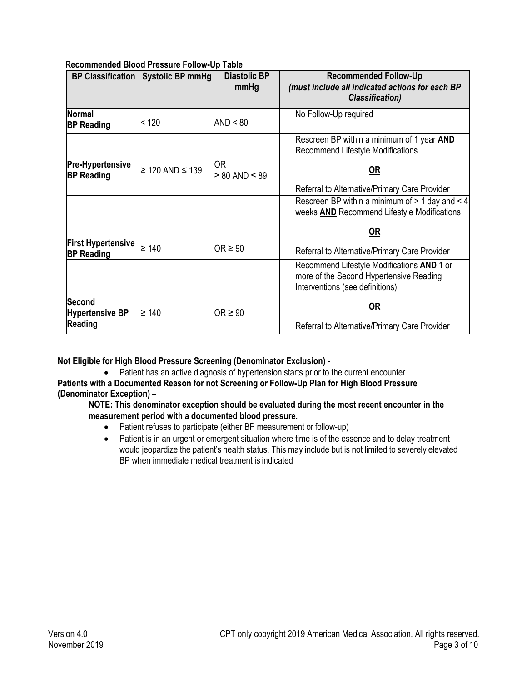#### **Recommended Blood Pressure Follow-Up Table**

|                                                | <b>BP Classification   Systolic BP mmHg  </b> | <b>Diastolic BP</b><br>mmHg   | <b>Recommended Follow-Up</b><br>(must include all indicated actions for each BP<br><b>Classification</b> )               |
|------------------------------------------------|-----------------------------------------------|-------------------------------|--------------------------------------------------------------------------------------------------------------------------|
| <b>Normal</b><br><b>BP Reading</b>             | $ $ < 120                                     | AND < 80                      | No Follow-Up required                                                                                                    |
|                                                |                                               |                               | Rescreen BP within a minimum of 1 year <b>AND</b><br>Recommend Lifestyle Modifications                                   |
| <b>Pre-Hypertensive</b><br><b>BP Reading</b>   | $≥ 120$ AND ≤ 139                             | 0R<br>$\geq 80$ AND $\leq 89$ | <u>OR</u>                                                                                                                |
|                                                |                                               |                               | Referral to Alternative/Primary Care Provider                                                                            |
|                                                |                                               |                               | Rescreen BP within a minimum of $> 1$ day and $< 4$<br>weeks <b>AND</b> Recommend Lifestyle Modifications                |
|                                                |                                               |                               | $OR$                                                                                                                     |
| <b>First Hypertensive</b><br><b>BP Reading</b> | ≥ 140                                         | OR $\geq 90$                  | Referral to Alternative/Primary Care Provider                                                                            |
|                                                |                                               |                               | Recommend Lifestyle Modifications AND 1 or<br>more of the Second Hypertensive Reading<br>Interventions (see definitions) |
| <b>Second</b><br><b>Hypertensive BP</b>        | $\geq 140$                                    | OR $\geq 90$                  | <u>OR</u>                                                                                                                |
| Reading                                        |                                               |                               | Referral to Alternative/Primary Care Provider                                                                            |

**Not Eligible for High Blood Pressure Screening (Denominator Exclusion) -** 

• Patient has an active diagnosis of hypertension starts prior to the current encounter **Patients with a Documented Reason for not Screening or Follow-Up Plan for High Blood Pressure (Denominator Exception) –** 

**NOTE: This denominator exception should be evaluated during the most recent encounter in the measurement period with a documented blood pressure.**

- Patient refuses to participate (either BP measurement or follow-up)
- Patient is in an urgent or emergent situation where time is of the essence and to delay treatment would jeopardize the patient's health status. This may include but is not limited to severely elevated BP when immediate medical treatment is indicated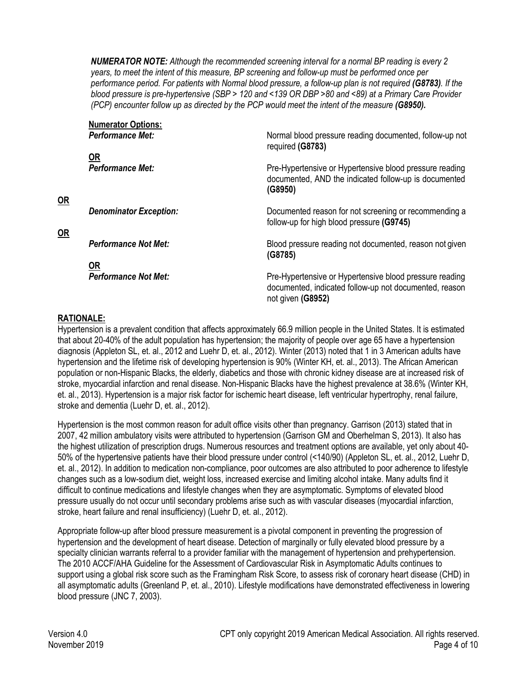*NUMERATOR NOTE: Although the recommended screening interval for a normal BP reading is every 2 years, to meet the intent of this measure, BP screening and follow-up must be performed once per performance period. For patients with Normal blood pressure, a follow-up plan is not required (G8783). If the blood pressure is pre-hypertensive (SBP > 120 and <139 OR DBP >80 and <89) at a Primary Care Provider (PCP)* encounter follow up as directed by the PCP would meet the intent of the measure **(G8950).** 

| <b>Numerator Options:</b><br><b>Performance Met:</b> | Normal blood pressure reading documented, follow-up not                                                                                |
|------------------------------------------------------|----------------------------------------------------------------------------------------------------------------------------------------|
|                                                      | required (G8783)                                                                                                                       |
| OR                                                   |                                                                                                                                        |
| <b>Performance Met:</b>                              | Pre-Hypertensive or Hypertensive blood pressure reading<br>documented, AND the indicated follow-up is documented<br>(G8950)            |
| <b>Denominator Exception:</b>                        | Documented reason for not screening or recommending a<br>follow-up for high blood pressure (G9745)                                     |
| <b>Performance Not Met:</b>                          | Blood pressure reading not documented, reason not given<br>(G8785)                                                                     |
| 0R                                                   |                                                                                                                                        |
| <b>Performance Not Met:</b>                          | Pre-Hypertensive or Hypertensive blood pressure reading<br>documented, indicated follow-up not documented, reason<br>not given (G8952) |

## **RATIONALE:**

**OR**

**OR**

Hypertension is a prevalent condition that affects approximately 66.9 million people in the United States. It is estimated that about 20-40% of the adult population has hypertension; the majority of people over age 65 have a hypertension diagnosis (Appleton SL, et. al., 2012 and Luehr D, et. al., 2012). Winter (2013) noted that 1 in 3 American adults have hypertension and the lifetime risk of developing hypertension is 90% (Winter KH, et. al., 2013). The African American population or non-Hispanic Blacks, the elderly, diabetics and those with chronic kidney disease are at increased risk of stroke, myocardial infarction and renal disease. Non-Hispanic Blacks have the highest prevalence at 38.6% (Winter KH, et. al., 2013). Hypertension is a major risk factor for ischemic heart disease, left ventricular hypertrophy, renal failure, stroke and dementia (Luehr D, et. al., 2012).

Hypertension is the most common reason for adult office visits other than pregnancy. Garrison (2013) stated that in 2007, 42 million ambulatory visits were attributed to hypertension (Garrison GM and Oberhelman S, 2013). It also has the highest utilization of prescription drugs. Numerous resources and treatment options are available, yet only about 40- 50% of the hypertensive patients have their blood pressure under control (<140/90) (Appleton SL, et. al., 2012, Luehr D, et. al., 2012). In addition to medication non-compliance, poor outcomes are also attributed to poor adherence to lifestyle changes such as a low-sodium diet, weight loss, increased exercise and limiting alcohol intake. Many adults find it difficult to continue medications and lifestyle changes when they are asymptomatic. Symptoms of elevated blood pressure usually do not occur until secondary problems arise such as with vascular diseases (myocardial infarction, stroke, heart failure and renal insufficiency) (Luehr D, et. al., 2012).

Appropriate follow-up after blood pressure measurement is a pivotal component in preventing the progression of hypertension and the development of heart disease. Detection of marginally or fully elevated blood pressure by a specialty clinician warrants referral to a provider familiar with the management of hypertension and prehypertension. The 2010 ACCF/AHA Guideline for the Assessment of Cardiovascular Risk in Asymptomatic Adults continues to support using a global risk score such as the Framingham Risk Score, to assess risk of coronary heart disease (CHD) in all asymptomatic adults (Greenland P, et. al., 2010). Lifestyle modifications have demonstrated effectiveness in lowering blood pressure (JNC 7, 2003).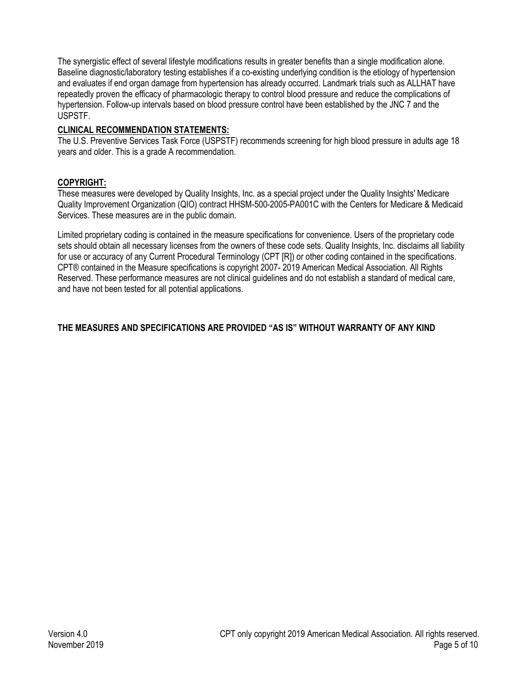The synergistic effect of several lifestyle modifications results in greater benefits than a single modification alone. Baseline diagnostic/laboratory testing establishes if a co-existing underlying condition is the etiology of hypertension and evaluates if end organ damage from hypertension has already occurred. Landmark trials such as ALLHAT have repeatedly proven the efficacy of pharmacologic therapy to control blood pressure and reduce the complications of hypertension. Follow-up intervals based on blood pressure control have been established by the JNC 7 and the USPSTF.

# **CLINICAL RECOMMENDATION STATEMENTS:**

The U.S. Preventive Services Task Force (USPSTF) recommends screening for high blood pressure in adults age 18 years and older. This is a grade A recommendation.

## **COPYRIGHT:**

These measures were developed by Quality Insights, Inc. as a special project under the Quality Insights' Medicare Quality Improvement Organization (QIO) contract HHSM-500-2005-PA001C with the Centers for Medicare & Medicaid Services. These measures are in the public domain.

Limited proprietary coding is contained in the measure specifications for convenience. Users of the proprietary code sets should obtain all necessary licenses from the owners of these code sets. Quality Insights, Inc. disclaims all liability for use or accuracy of any Current Procedural Terminology (CPT [R]) or other coding contained in the specifications. CPT® contained in the Measure specifications is copyright 2007- 2019 American Medical Association. All Rights Reserved. These performance measures are not clinical guidelines and do not establish a standard of medical care, and have not been tested for all potential applications.

# **THE MEASURES AND SPECIFICATIONS ARE PROVIDED "AS IS" WITHOUT WARRANTY OF ANY KIND**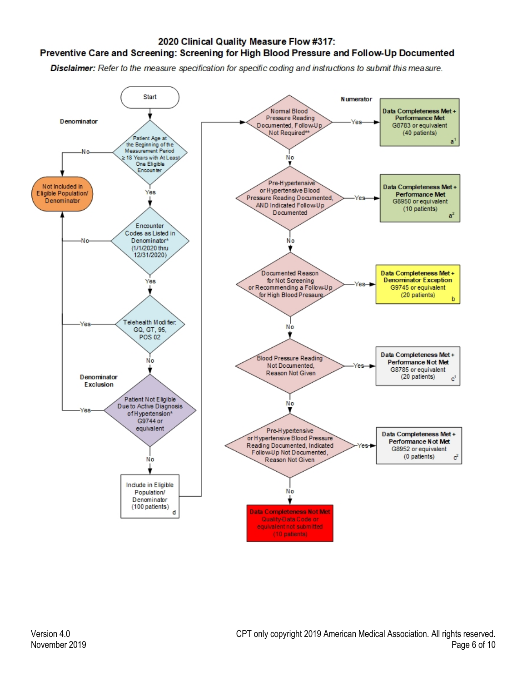#### 2020 Clinical Quality Measure Flow #317:

#### Preventive Care and Screening: Screening for High Blood Pressure and Follow-Up Documented

Disclaimer: Refer to the measure specification for specific coding and instructions to submit this measure.

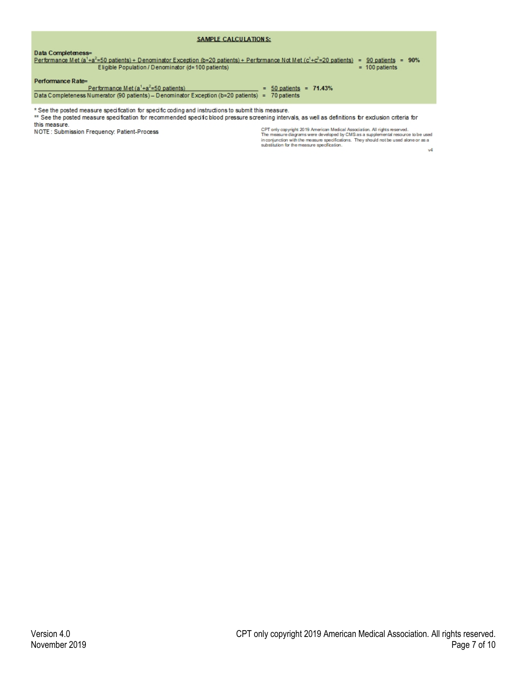| SAMPLE CALCULATIONS:                                                                                                                                                                                                                                                                                                                                                                                                                                                                                     |
|----------------------------------------------------------------------------------------------------------------------------------------------------------------------------------------------------------------------------------------------------------------------------------------------------------------------------------------------------------------------------------------------------------------------------------------------------------------------------------------------------------|
| Data Completeness=<br>Performance Met (a <sup>1</sup> +a <sup>2</sup> =50 patients) + Denominator Exception (b=20 patients) + Performance Not Met (c <sup>1</sup> +c <sup>2</sup> =20 patients)<br>$= 90$ patients $= 90\%$<br>Eligible Population / Denominator (d=100 patients)<br>$= 100$ patients<br>Performance Rate=<br>Performance Met $(a1+a2=50$ patients)<br>$= 50$ patients $= 71.43\%$<br>Data Completeness Numerator (90 patients) - Denominator Exception (b=20 patients) =<br>70 patients |
| . See the posted measure specification for specific coding and instructions to submit this measure *<br>** See the posted measure specification for recommended specific blood pressure screening intervals, as well as definitions for exclusion criteria for                                                                                                                                                                                                                                           |

this measure. NOTE: Submission Frequency: Patient-Process

CPT only copyright 2019 American Medical Association. All rights reserved.<br>The measure diagrams were developed by CMS as a supplemental resource to be used<br>in conjunction with the measure specifications. They should not be

y4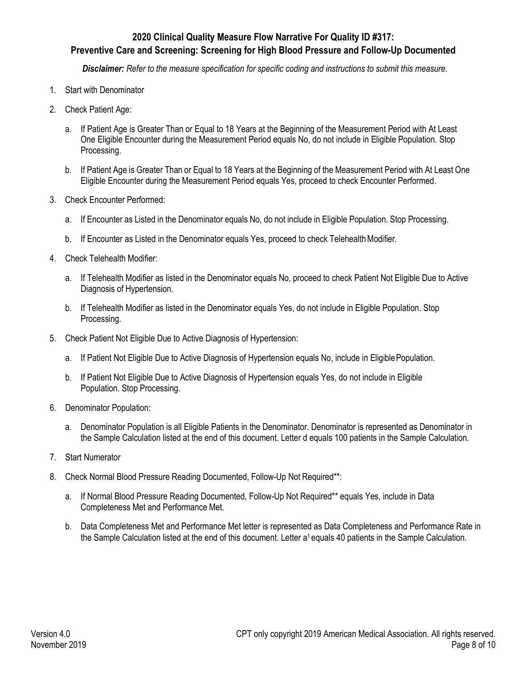# **2020 Clinical Quality Measure Flow Narrative For Quality ID #317:**

# **Preventive Care and Screening: Screening for High Blood Pressure and Follow-Up Documented**

*Disclaimer: Refer to the measure specification for specific coding and instructions to submit this measure.*

- 1. Start with Denominator
- 2. Check Patient Age:
	- a. If Patient Age is Greater Than or Equal to 18 Years at the Beginning of the Measurement Period with At Least One Eligible Encounter during the Measurement Period equals No, do not include in Eligible Population. Stop Processing.
	- b. If Patient Age is Greater Than or Equal to 18 Years at the Beginning of the Measurement Period with At Least One Eligible Encounter during the Measurement Period equals Yes, proceed to check Encounter Performed.
- 3. Check Encounter Performed:
	- a. If Encounter as Listed in the Denominator equals No, do not include in Eligible Population. Stop Processing.
	- b. If Encounter as Listed in the Denominator equals Yes, proceed to check Telehealth Modifier.
- 4. Check Telehealth Modifier:
	- a. If Telehealth Modifier as listed in the Denominator equals No, proceed to check Patient Not Eligible Due to Active Diagnosis of Hypertension.
	- b. If Telehealth Modifier as listed in the Denominator equals Yes, do not include in Eligible Population. Stop Processing.
- 5. Check Patient Not Eligible Due to Active Diagnosis of Hypertension:
	- a. If Patient Not Eligible Due to Active Diagnosis of Hypertension equals No, include in EligiblePopulation.
	- b. If Patient Not Eligible Due to Active Diagnosis of Hypertension equals Yes, do not include in Eligible Population. Stop Processing.
- 6. Denominator Population:
	- a. Denominator Population is all Eligible Patients in the Denominator. Denominator is represented as Denominator in the Sample Calculation listed at the end of this document. Letter d equals 100 patients in the Sample Calculation.
- 7. Start Numerator
- 8. Check Normal Blood Pressure Reading Documented, Follow-Up Not Required\*\*:
	- a. If Normal Blood Pressure Reading Documented, Follow-Up Not Required\*\* equals Yes, include in Data Completeness Met and Performance Met.
	- b. Data Completeness Met and Performance Met letter is represented as Data Completeness and Performance Rate in the Sample Calculation listed at the end of this document. Letter a<sup>1</sup> equals 40 patients in the Sample Calculation.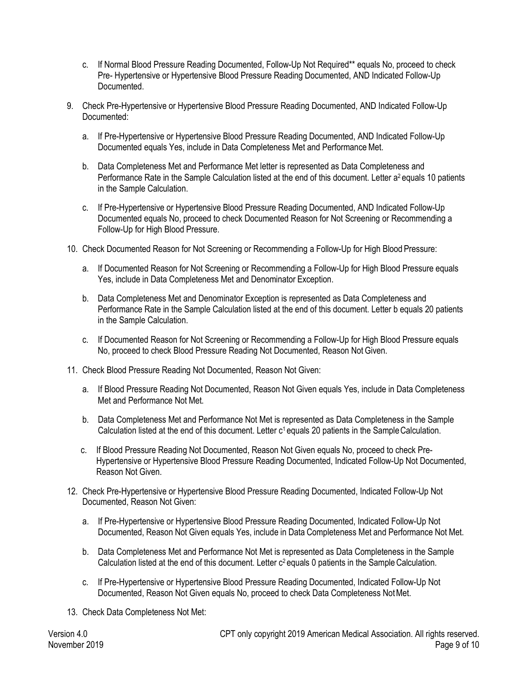- c. If Normal Blood Pressure Reading Documented, Follow-Up Not Required\*\* equals No, proceed to check Pre- Hypertensive or Hypertensive Blood Pressure Reading Documented, AND Indicated Follow-Up Documented.
- 9. Check Pre-Hypertensive or Hypertensive Blood Pressure Reading Documented, AND Indicated Follow-Up Documented:
	- a. If Pre-Hypertensive or Hypertensive Blood Pressure Reading Documented, AND Indicated Follow-Up Documented equals Yes, include in Data Completeness Met and Performance Met.
	- b. Data Completeness Met and Performance Met letter is represented as Data Completeness and Performance Rate in the Sample Calculation listed at the end of this document. Letter a<sup>2</sup> equals 10 patients in the Sample Calculation.
	- c. If Pre-Hypertensive or Hypertensive Blood Pressure Reading Documented, AND Indicated Follow-Up Documented equals No, proceed to check Documented Reason for Not Screening or Recommending a Follow-Up for High Blood Pressure.
- 10. Check Documented Reason for Not Screening or Recommending a Follow-Up for High Blood Pressure:
	- a. If Documented Reason for Not Screening or Recommending a Follow-Up for High Blood Pressure equals Yes, include in Data Completeness Met and Denominator Exception.
	- b. Data Completeness Met and Denominator Exception is represented as Data Completeness and Performance Rate in the Sample Calculation listed at the end of this document. Letter b equals 20 patients in the Sample Calculation.
	- c. If Documented Reason for Not Screening or Recommending a Follow-Up for High Blood Pressure equals No, proceed to check Blood Pressure Reading Not Documented, Reason Not Given.
- 11. Check Blood Pressure Reading Not Documented, Reason Not Given:
	- a. If Blood Pressure Reading Not Documented, Reason Not Given equals Yes, include in Data Completeness Met and Performance Not Met.
	- b. Data Completeness Met and Performance Not Met is represented as Data Completeness in the Sample Calculation listed at the end of this document. Letter c<sup>1</sup> equals 20 patients in the Sample Calculation.
	- c. If Blood Pressure Reading Not Documented, Reason Not Given equals No, proceed to check Pre-Hypertensive or Hypertensive Blood Pressure Reading Documented, Indicated Follow-Up Not Documented, Reason Not Given.
- 12. Check Pre-Hypertensive or Hypertensive Blood Pressure Reading Documented, Indicated Follow-Up Not Documented, Reason Not Given:
	- a. If Pre-Hypertensive or Hypertensive Blood Pressure Reading Documented, Indicated Follow-Up Not Documented, Reason Not Given equals Yes, include in Data Completeness Met and Performance Not Met.
	- b. Data Completeness Met and Performance Not Met is represented as Data Completeness in the Sample Calculation listed at the end of this document. Letter c<sup>2</sup> equals 0 patients in the Sample Calculation.
	- c. If Pre-Hypertensive or Hypertensive Blood Pressure Reading Documented, Indicated Follow-Up Not Documented, Reason Not Given equals No, proceed to check Data Completeness Not Met.
- 13. Check Data Completeness Not Met: